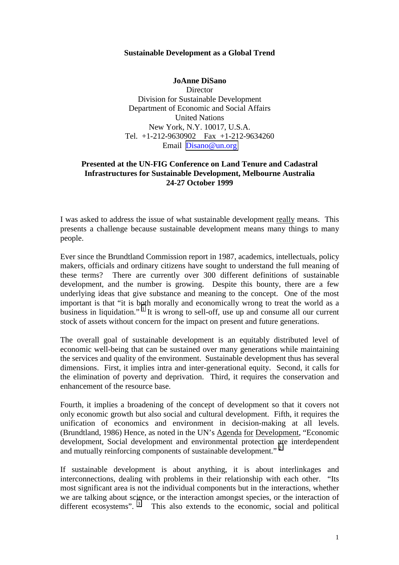## **Sustainable Development as a Global Trend**

**JoAnne DiSano Director** Division for Sustainable Development Department of Economic and Social Affairs United Nations New York, N.Y. 10017, U.S.A. Tel. +1-212-9630902 Fax +1-212-9634260 Email [Disano@un.org](mailto:Disano@un.org)

## **Presented at the UN-FIG Conference on Land Tenure and Cadastral Infrastructures for Sustainable Development, Melbourne Australia 24-27 October 1999**

I was asked to address the issue of what sustainable development really means. This presents a challenge because sustainable development means many things to many people.

Ever since the Brundtland Commission report in 1987, academics, intellectuals, policy makers, officials and ordinary citizens have sought to understand the full meaning of these terms? There are currently over 300 different definitions of sustainable development, and the number is growing. Despite this bounty, there are a few underlying ideas that give substance and meaning to the concept. One of the most important is that "it is both morally and economically wrong to treat the world as a business in liquidation." <sup>[1](#page-5-0)</sup> It is wrong to sell-off, use up and consume all our current stock of assets without concern for the impact on present and future generations.

The overall goal of sustainable development is an equitably distributed level of economic well-being that can be sustained over many generations while maintaining the services and quality of the environment. Sustainable development thus has several dimensions. First, it implies intra and inter-generational equity. Second, it calls for the elimination of poverty and deprivation. Third, it requires the conservation and enhancement of the resource base.

Fourth, it implies a broadening of the concept of development so that it covers not only economic growth but also social and cultural development. Fifth, it requires the unification of economics and environment in decision-making at all levels. (Brundtland, 1986) Hence, as noted in the UN's Agenda for Development, "Economic development, Social development and environmental protection are interdependent and mutually reinforcing components of sustainable development."<sup>[2](#page-5-0)</sup>

If sustainable development is about anything, it is about interlinkages and interconnections, dealing with problems in their relationship with each other. "Its most significant area is not the individual components but in the interactions, whether we are talking about science, or the interaction amongst species, or the interaction of different ecosystems". <sup>[3](#page-5-0)</sup> This also extends to the economic, social and political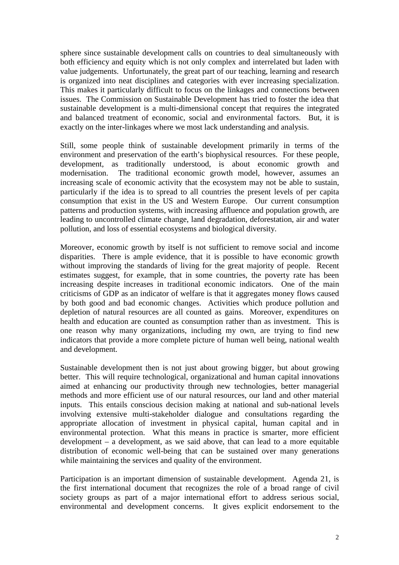sphere since sustainable development calls on countries to deal simultaneously with both efficiency and equity which is not only complex and interrelated but laden with value judgements. Unfortunately, the great part of our teaching, learning and research is organized into neat disciplines and categories with ever increasing specialization. This makes it particularly difficult to focus on the linkages and connections between issues. The Commission on Sustainable Development has tried to foster the idea that sustainable development is a multi-dimensional concept that requires the integrated and balanced treatment of economic, social and environmental factors. But, it is exactly on the inter-linkages where we most lack understanding and analysis.

Still, some people think of sustainable development primarily in terms of the environment and preservation of the earth's biophysical resources. For these people, development, as traditionally understood, is about economic growth and modernisation. The traditional economic growth model, however, assumes an increasing scale of economic activity that the ecosystem may not be able to sustain, particularly if the idea is to spread to all countries the present levels of per capita consumption that exist in the US and Western Europe. Our current consumption patterns and production systems, with increasing affluence and population growth, are leading to uncontrolled climate change, land degradation, deforestation, air and water pollution, and loss of essential ecosystems and biological diversity.

Moreover, economic growth by itself is not sufficient to remove social and income disparities. There is ample evidence, that it is possible to have economic growth without improving the standards of living for the great majority of people. Recent estimates suggest, for example, that in some countries, the poverty rate has been increasing despite increases in traditional economic indicators. One of the main criticisms of GDP as an indicator of welfare is that it aggregates money flows caused by both good and bad economic changes. Activities which produce pollution and depletion of natural resources are all counted as gains. Moreover, expenditures on health and education are counted as consumption rather than as investment. This is one reason why many organizations, including my own, are trying to find new indicators that provide a more complete picture of human well being, national wealth and development.

Sustainable development then is not just about growing bigger, but about growing better. This will require technological, organizational and human capital innovations aimed at enhancing our productivity through new technologies, better managerial methods and more efficient use of our natural resources, our land and other material inputs. This entails conscious decision making at national and sub-national levels involving extensive multi-stakeholder dialogue and consultations regarding the appropriate allocation of investment in physical capital, human capital and in environmental protection. What this means in practice is smarter, more efficient development – a development, as we said above, that can lead to a more equitable distribution of economic well-being that can be sustained over many generations while maintaining the services and quality of the environment.

Participation is an important dimension of sustainable development. Agenda 21, is the first international document that recognizes the role of a broad range of civil society groups as part of a major international effort to address serious social, environmental and development concerns. It gives explicit endorsement to the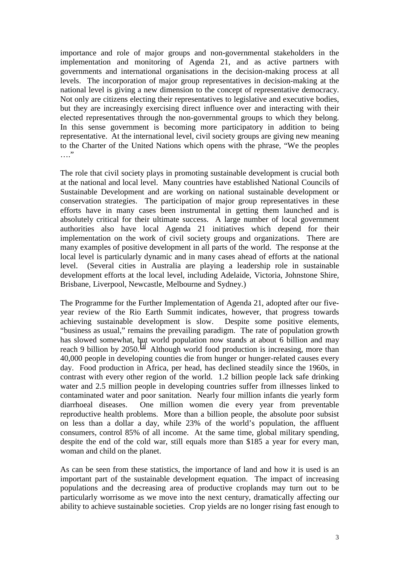importance and role of major groups and non-governmental stakeholders in the implementation and monitoring of Agenda 21, and as active partners with governments and international organisations in the decision-making process at all levels. The incorporation of major group representatives in decision-making at the national level is giving a new dimension to the concept of representative democracy. Not only are citizens electing their representatives to legislative and executive bodies, but they are increasingly exercising direct influence over and interacting with their elected representatives through the non-governmental groups to which they belong. In this sense government is becoming more participatory in addition to being representative. At the international level, civil society groups are giving new meaning to the Charter of the United Nations which opens with the phrase, "We the peoples  $\cdots$ 

The role that civil society plays in promoting sustainable development is crucial both at the national and local level. Many countries have established National Councils of Sustainable Development and are working on national sustainable development or conservation strategies. The participation of major group representatives in these efforts have in many cases been instrumental in getting them launched and is absolutely critical for their ultimate success. A large number of local government authorities also have local Agenda 21 initiatives which depend for their implementation on the work of civil society groups and organizations. There are many examples of positive development in all parts of the world. The response at the local level is particularly dynamic and in many cases ahead of efforts at the national level. (Several cities in Australia are playing a leadership role in sustainable development efforts at the local level, including Adelaide, Victoria, Johnstone Shire, Brisbane, Liverpool, Newcastle, Melbourne and Sydney.)

The Programme for the Further Implementation of Agenda 21, adopted after our fiveyear review of the Rio Earth Summit indicates, however, that progress towards achieving sustainable development is slow. Despite some positive elements, "business as usual," remains the prevailing paradigm. The rate of population growth has slowed somewhat, but world population now stands at about 6 billion and may reach 9 billion by 2050.<sup>[4](#page-5-0)</sup> Although world food production is increasing, more than 40,000 people in developing counties die from hunger or hunger-related causes every day. Food production in Africa, per head, has declined steadily since the 1960s, in contrast with every other region of the world. 1.2 billion people lack safe drinking water and 2.5 million people in developing countries suffer from illnesses linked to contaminated water and poor sanitation. Nearly four million infants die yearly form diarrhoeal diseases. One million women die every year from preventable reproductive health problems. More than a billion people, the absolute poor subsist on less than a dollar a day, while 23% of the world's population, the affluent consumers, control 85% of all income. At the same time, global military spending, despite the end of the cold war, still equals more than \$185 a year for every man, woman and child on the planet.

As can be seen from these statistics, the importance of land and how it is used is an important part of the sustainable development equation. The impact of increasing populations and the decreasing area of productive croplands may turn out to be particularly worrisome as we move into the next century, dramatically affecting our ability to achieve sustainable societies. Crop yields are no longer rising fast enough to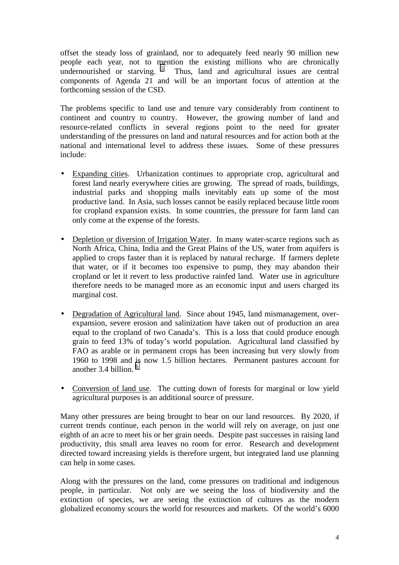offset the steady loss of grainland, nor to adequately feed nearly 90 million new people each year, not to mention the existing millions who are chronically undernourished or starving.  $5$  Thus, land and agricultural issues are central components of Agenda 21 and will be an important focus of attention at the forthcoming session of the CSD.

The problems specific to land use and tenure vary considerably from continent to continent and country to country. However, the growing number of land and resource-related conflicts in several regions point to the need for greater understanding of the pressures on land and natural resources and for action both at the national and international level to address these issues. Some of these pressures include:

- Expanding cities. Urbanization continues to appropriate crop, agricultural and forest land nearly everywhere cities are growing. The spread of roads, buildings, industrial parks and shopping malls inevitably eats up some of the most productive land. In Asia, such losses cannot be easily replaced because little room for cropland expansion exists. In some countries, the pressure for farm land can only come at the expense of the forests.
- Depletion or diversion of Irrigation Water. In many water-scarce regions such as North Africa, China, India and the Great Plains of the US, water from aquifers is applied to crops faster than it is replaced by natural recharge. If farmers deplete that water, or if it becomes too expensive to pump, they may abandon their cropland or let it revert to less productive rainfed land. Water use in agriculture therefore needs to be managed more as an economic input and users charged its marginal cost.
- Degradation of Agricultural land. Since about 1945, land mismanagement, overexpansion, severe erosion and salinization have taken out of production an area equal to the cropland of two Canada's. This is a loss that could produce enough grain to feed 13% of today's world population. Agricultural land classified by FAO as arable or in permanent crops has been increasing but very slowly from 1960 to 1998 and is now 1.5 billion hectares. Permanent pastures account for another 3.4 billion. [6](#page-5-0)
- Conversion of land use. The cutting down of forests for marginal or low yield agricultural purposes is an additional source of pressure.

Many other pressures are being brought to bear on our land resources. By 2020, if current trends continue, each person in the world will rely on average, on just one eighth of an acre to meet his or her grain needs. Despite past successes in raising land productivity, this small area leaves no room for error. Research and development directed toward increasing yields is therefore urgent, but integrated land use planning can help in some cases.

Along with the pressures on the land, come pressures on traditional and indigenous people, in particular. Not only are we seeing the loss of biodiversity and the extinction of species, we are seeing the extinction of cultures as the modern globalized economy scours the world for resources and markets. Of the world's 6000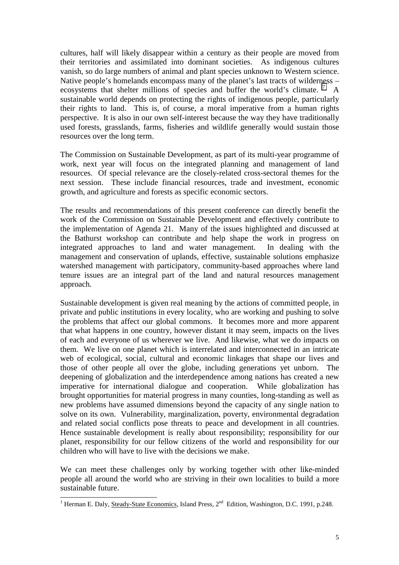cultures, half will likely disappear within a century as their people are moved from their territories and assimilated into dominant societies. As indigenous cultures vanish, so do large numbers of animal and plant species unknown to Western science. Native people's homelands encompass many of the planet's last tracts of wilderness – ecosystems that shelter millions of species and buffer the world's climate.<sup>[7](#page-5-0)</sup> A sustainable world depends on protecting the rights of indigenous people, particularly their rights to land. This is, of course, a moral imperative from a human rights perspective. It is also in our own self-interest because the way they have traditionally used forests, grasslands, farms, fisheries and wildlife generally would sustain those resources over the long term.

The Commission on Sustainable Development, as part of its multi-year programme of work, next year will focus on the integrated planning and management of land resources. Of special relevance are the closely-related cross-sectoral themes for the next session. These include financial resources, trade and investment, economic growth, and agriculture and forests as specific economic sectors.

The results and recommendations of this present conference can directly benefit the work of the Commission on Sustainable Development and effectively contribute to the implementation of Agenda 21. Many of the issues highlighted and discussed at the Bathurst workshop can contribute and help shape the work in progress on integrated approaches to land and water management. In dealing with the management and conservation of uplands, effective, sustainable solutions emphasize watershed management with participatory, community-based approaches where land tenure issues are an integral part of the land and natural resources management approach.

Sustainable development is given real meaning by the actions of committed people, in private and public institutions in every locality, who are working and pushing to solve the problems that affect our global commons. It becomes more and more apparent that what happens in one country, however distant it may seem, impacts on the lives of each and everyone of us wherever we live. And likewise, what we do impacts on them. We live on one planet which is interrelated and interconnected in an intricate web of ecological, social, cultural and economic linkages that shape our lives and those of other people all over the globe, including generations yet unborn. The deepening of globalization and the interdependence among nations has created a new imperative for international dialogue and cooperation. While globalization has brought opportunities for material progress in many counties, long-standing as well as new problems have assumed dimensions beyond the capacity of any single nation to solve on its own. Vulnerability, marginalization, poverty, environmental degradation and related social conflicts pose threats to peace and development in all countries. Hence sustainable development is really about responsibility; responsibility for our planet, responsibility for our fellow citizens of the world and responsibility for our children who will have to live with the decisions we make.

We can meet these challenges only by working together with other like-minded people all around the world who are striving in their own localities to build a more sustainable future.

<sup>&</sup>lt;sup>1</sup> Herman E. Daly, Steady-State Economics, Island Press, 2<sup>nd</sup> Edition, Washington, D.C. 1991, p.248.